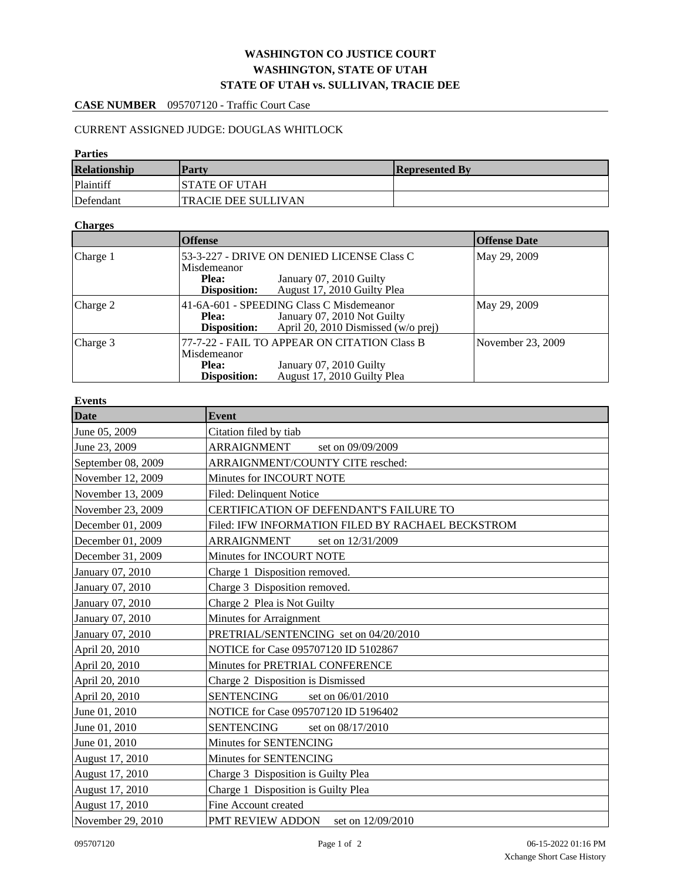# **WASHINGTON CO JUSTICE COURT WASHINGTON, STATE OF UTAH STATE OF UTAH vs. SULLIVAN, TRACIE DEE**

# **CASE NUMBER** 095707120 - Traffic Court Case

## CURRENT ASSIGNED JUDGE: DOUGLAS WHITLOCK

#### **Parties**

| <b>Relationship</b> | <b>Party</b>               | <b>Represented By</b> |
|---------------------|----------------------------|-----------------------|
| Plaintiff           | ISTATE OF UTAH             |                       |
| Defendant           | <b>TRACIE DEE SULLIVAN</b> |                       |

#### **Charges**

|          | <b>Offense</b>                                                                                                                                             | <b>Offense Date</b>                                                                                    |                   |
|----------|------------------------------------------------------------------------------------------------------------------------------------------------------------|--------------------------------------------------------------------------------------------------------|-------------------|
| Charge 1 | 53-3-227 - DRIVE ON DENIED LICENSE Class C<br>Misdemeanor<br>January 07, 2010 Guilty<br><b>Plea:</b><br>August 17, 2010 Guilty Plea<br><b>Disposition:</b> |                                                                                                        | May 29, 2009      |
| Charge 2 | 41-6A-601 - SPEEDING Class C Misdemeanor<br>January 07, 2010 Not Guilty<br><b>Plea:</b><br>April 20, 2010 Dismissed (w/o prej)<br>Disposition:             |                                                                                                        | May 29, 2009      |
| Charge 3 | Misdemeanor<br>Plea:<br>Disposition:                                                                                                                       | 77-7-22 - FAIL TO APPEAR ON CITATION Class B<br>January 07, 2010 Guilty<br>August 17, 2010 Guilty Plea | November 23, 2009 |

#### **Events**

| Date               | <b>Event</b>                                      |  |  |
|--------------------|---------------------------------------------------|--|--|
| June 05, 2009      | Citation filed by tiab                            |  |  |
| June 23, 2009      | ARRAIGNMENT<br>set on 09/09/2009                  |  |  |
| September 08, 2009 | ARRAIGNMENT/COUNTY CITE resched:                  |  |  |
| November 12, 2009  | Minutes for INCOURT NOTE                          |  |  |
| November 13, 2009  | Filed: Delinquent Notice                          |  |  |
| November 23, 2009  | CERTIFICATION OF DEFENDANT'S FAILURE TO           |  |  |
| December 01, 2009  | Filed: IFW INFORMATION FILED BY RACHAEL BECKSTROM |  |  |
| December 01, 2009  | ARRAIGNMENT<br>set on 12/31/2009                  |  |  |
| December 31, 2009  | Minutes for INCOURT NOTE                          |  |  |
| January 07, 2010   | Charge 1 Disposition removed.                     |  |  |
| January 07, 2010   | Charge 3 Disposition removed.                     |  |  |
| January 07, 2010   | Charge 2 Plea is Not Guilty                       |  |  |
| January 07, 2010   | Minutes for Arraignment                           |  |  |
| January 07, 2010   | PRETRIAL/SENTENCING set on 04/20/2010             |  |  |
| April 20, 2010     | NOTICE for Case 095707120 ID 5102867              |  |  |
| April 20, 2010     | Minutes for PRETRIAL CONFERENCE                   |  |  |
| April 20, 2010     | Charge 2 Disposition is Dismissed                 |  |  |
| April 20, 2010     | <b>SENTENCING</b><br>set on 06/01/2010            |  |  |
| June 01, 2010      | NOTICE for Case 095707120 ID 5196402              |  |  |
| June 01, 2010      | <b>SENTENCING</b><br>set on 08/17/2010            |  |  |
| June 01, 2010      | Minutes for SENTENCING                            |  |  |
| August 17, 2010    | Minutes for SENTENCING                            |  |  |
| August 17, 2010    | Charge 3 Disposition is Guilty Plea               |  |  |
| August 17, 2010    | Charge 1 Disposition is Guilty Plea               |  |  |
| August 17, 2010    | Fine Account created                              |  |  |
| November 29, 2010  | PMT REVIEW ADDON<br>set on 12/09/2010             |  |  |